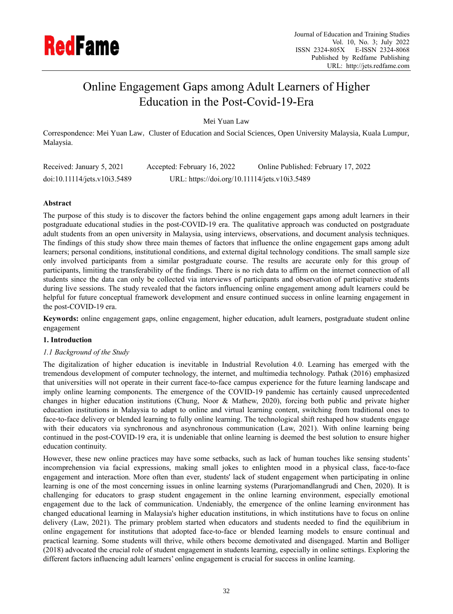

# Online Engagement Gaps among Adult Learners of Higher Education in the Post-Covid-19-Era

Mei Yuan Law

Correspondence: Mei Yuan Law, Cluster of Education and Social Sciences, Open University Malaysia, Kuala Lumpur, Malaysia.

| Received: January 5, 2021    | Accepted: February 16, 2022                   | Online Published: February 17, 2022 |
|------------------------------|-----------------------------------------------|-------------------------------------|
| doi:10.11114/jets.v10i3.5489 | URL: https://doi.org/10.11114/jets.v10i3.5489 |                                     |

# **Abstract**

The purpose of this study is to discover the factors behind the online engagement gaps among adult learners in their postgraduate educational studies in the post-COVID-19 era. The qualitative approach was conducted on postgraduate adult students from an open university in Malaysia, using interviews, observations, and document analysis techniques. The findings of this study show three main themes of factors that influence the online engagement gaps among adult learners; personal conditions, institutional conditions, and external digital technology conditions. The small sample size only involved participants from a similar postgraduate course. The results are accurate only for this group of participants, limiting the transferability of the findings. There is no rich data to affirm on the internet connection of all students since the data can only be collected via interviews of participants and observation of participative students during live sessions. The study revealed that the factors influencing online engagement among adult learners could be helpful for future conceptual framework development and ensure continued success in online learning engagement in the post-COVID-19 era.

**Keywords:** online engagement gaps, online engagement, higher education, adult learners, postgraduate student online engagement

## **1. Introduction**

## *1.1 Background of the Study*

The digitalization of higher education is inevitable in Industrial Revolution 4.0. Learning has emerged with the tremendous development of computer technology, the internet, and multimedia technology. Pathak (2016) emphasized that universities will not operate in their current face-to-face campus experience for the future learning landscape and imply online learning components. The emergence of the COVID-19 pandemic has certainly caused unprecedented changes in higher education institutions (Chung, Noor & Mathew, 2020), forcing both public and private higher education institutions in Malaysia to adapt to online and virtual learning content, switching from traditional ones to face-to-face delivery or blended learning to fully online learning. The technological shift reshaped how students engage with their educators via synchronous and asynchronous communication (Law, 2021). With online learning being continued in the post-COVID-19 era, it is undeniable that online learning is deemed the best solution to ensure higher education continuity.

However, these new online practices may have some setbacks, such as lack of human touches like sensing students' incomprehension via facial expressions, making small jokes to enlighten mood in a physical class, face-to-face engagement and interaction. More often than ever, students' lack of student engagement when participating in online learning is one of the most concerning issues in online learning systems (Purarjomandlangrudi and Chen, 2020). It is challenging for educators to grasp student engagement in the online learning environment, especially emotional engagement due to the lack of communication. Undeniably, the emergence of the online learning environment has changed educational learning in Malaysia's higher education institutions, in which institutions have to focus on online delivery (Law, 2021). The primary problem started when educators and students needed to find the equilibrium in online engagement for institutions that adopted face-to-face or blended learning models to ensure continual and practical learning. Some students will thrive, while others become demotivated and disengaged. Martin and Bolliger (2018) advocated the crucial role of student engagement in students learning, especially in online settings. Exploring the different factors influencing adult learners' online engagement is crucial for success in online learning.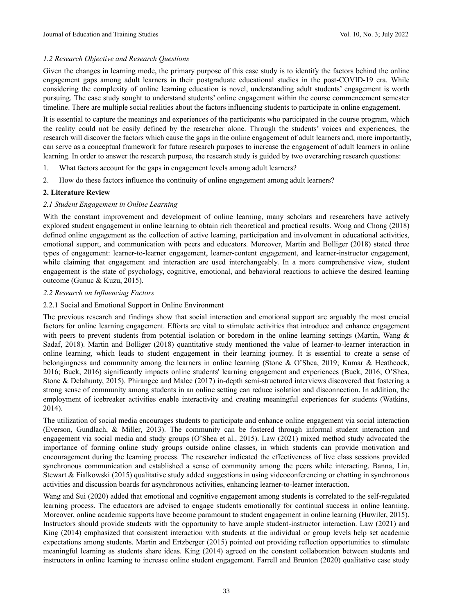# *1.2 Research Objective and Research Questions*

Given the changes in learning mode, the primary purpose of this case study is to identify the factors behind the online engagement gaps among adult learners in their postgraduate educational studies in the post-COVID-19 era. While considering the complexity of online learning education is novel, understanding adult students' engagement is worth pursuing. The case study sought to understand students' online engagement within the course commencement semester timeline. There are multiple social realities about the factors influencing students to participate in online engagement.

It is essential to capture the meanings and experiences of the participants who participated in the course program, which the reality could not be easily defined by the researcher alone. Through the students' voices and experiences, the research will discover the factors which cause the gaps in the online engagement of adult learners and, more importantly, can serve as a conceptual framework for future research purposes to increase the engagement of adult learners in online learning. In order to answer the research purpose, the research study is guided by two overarching research questions:

- 1. What factors account for the gaps in engagement levels among adult learners?
- 2. How do these factors influence the continuity of online engagement among adult learners?

# **2. Literature Review**

# *2.1 Student Engagement in Online Learning*

With the constant improvement and development of online learning, many scholars and researchers have actively explored student engagement in online learning to obtain rich theoretical and practical results. Wong and Chong (2018) defined online engagement as the collection of active learning, participation and involvement in educational activities, emotional support, and communication with peers and educators. Moreover, Martin and Bolliger (2018) stated three types of engagement: learner-to-learner engagement, learner-content engagement, and learner-instructor engagement, while claiming that engagement and interaction are used interchangeably. In a more comprehensive view, student engagement is the state of psychology, cognitive, emotional, and behavioral reactions to achieve the desired learning outcome (Gunuc & Kuzu, 2015).

## *2.2 Research on Influencing Factors*

# 2.2.1 Social and Emotional Support in Online Environment

The previous research and findings show that social interaction and emotional support are arguably the most crucial factors for online learning engagement. Efforts are vital to stimulate activities that introduce and enhance engagement with peers to prevent students from potential isolation or boredom in the online learning settings (Martin, Wang & Sadaf, 2018). Martin and Bolliger (2018) quantitative study mentioned the value of learner-to-learner interaction in online learning, which leads to student engagement in their learning journey. It is essential to create a sense of belongingness and community among the learners in online learning (Stone & O'Shea, 2019; Kumar & Heathcock, 2016; Buck, 2016) significantly impacts online students' learning engagement and experiences (Buck, 2016; O'Shea, Stone & Delahunty, 2015). Phirangee and Malec (2017) in-depth semi-structured interviews discovered that fostering a strong sense of community among students in an online setting can reduce isolation and disconnection. In addition, the employment of icebreaker activities enable interactivity and creating meaningful experiences for students (Watkins, 2014).

The utilization of social media encourages students to participate and enhance online engagement via social interaction (Everson, Gundlach, & Miller, 2013). The community can be fostered through informal student interaction and engagement via social media and study groups (O'Shea et al., 2015). Law (2021) mixed method study advocated the importance of forming online study groups outside online classes, in which students can provide motivation and encouragement during the learning process. The researcher indicated the effectiveness of live class sessions provided synchronous communication and established a sense of community among the peers while interacting. Banna, Lin, Stewart & Fialkowski (2015) qualitative study added suggestions in using videoconferencing or chatting in synchronous activities and discussion boards for asynchronous activities, enhancing learner-to-learner interaction.

Wang and Sui (2020) added that emotional and cognitive engagement among students is correlated to the self-regulated learning process. The educators are advised to engage students emotionally for continual success in online learning. Moreover, online academic supports have become paramount to student engagement in online learning (Huwiler, 2015). Instructors should provide students with the opportunity to have ample student-instructor interaction. Law (2021) and King (2014) emphasized that consistent interaction with students at the individual or group levels help set academic expectations among students. Martin and Ertzberger (2015) pointed out providing reflection opportunities to stimulate meaningful learning as students share ideas. King (2014) agreed on the constant collaboration between students and instructors in online learning to increase online student engagement. Farrell and Brunton (2020) qualitative case study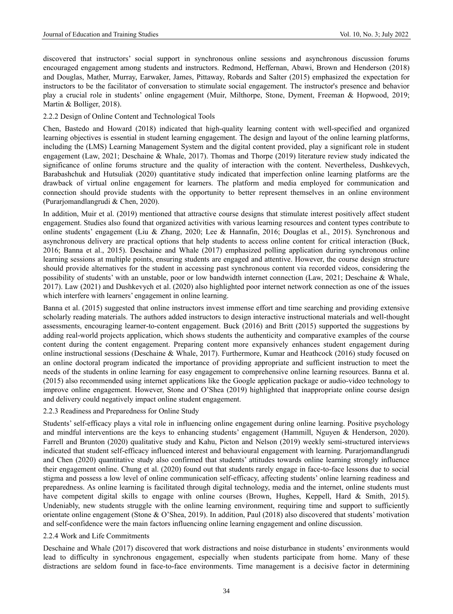discovered that instructors' social support in synchronous online sessions and asynchronous discussion forums encouraged engagement among students and instructors. Redmond, Heffernan, Abawi, Brown and Henderson (2018) and Douglas, Mather, Murray, Earwaker, James, Pittaway, Robards and Salter (2015) emphasized the expectation for instructors to be the facilitator of conversation to stimulate social engagement. The instructor's presence and behavior play a crucial role in students' online engagement (Muir, Milthorpe, Stone, Dyment, Freeman & Hopwood, 2019; Martin & Bolliger, 2018).

## 2.2.2 Design of Online Content and Technological Tools

Chen, Bastedo and Howard (2018) indicated that high-quality learning content with well-specified and organized learning objectives is essential in student learning engagement. The design and layout of the online learning platforms, including the (LMS) Learning Management System and the digital content provided, play a significant role in student engagement (Law, 2021; Deschaine & Whale, 2017). Thomas and Thorpe (2019) literature review study indicated the significance of online forums structure and the quality of interaction with the content. Nevertheless, Dushkevych, Barabashchuk and Hutsuliak (2020) quantitative study indicated that imperfection online learning platforms are the drawback of virtual online engagement for learners. The platform and media employed for communication and connection should provide students with the opportunity to better represent themselves in an online environment (Purarjomandlangrudi & Chen, 2020).

In addition, Muir et al. (2019) mentioned that attractive course designs that stimulate interest positively affect student engagement. Studies also found that organized activities with various learning resources and content types contribute to online students' engagement (Liu & Zhang, 2020; Lee & Hannafin, 2016; Douglas et al., 2015). Synchronous and asynchronous delivery are practical options that help students to access online content for critical interaction (Buck, 2016; Banna et al., 2015). Deschaine and Whale (2017) emphasized polling application during synchronous online learning sessions at multiple points, ensuring students are engaged and attentive. However, the course design structure should provide alternatives for the student in accessing past synchronous content via recorded videos, considering the possibility of students' with an unstable, poor or low bandwidth internet connection (Law, 2021; Deschaine & Whale, 2017). Law (2021) and Dushkevych et al. (2020) also highlighted poor internet network connection as one of the issues which interfere with learners' engagement in online learning.

Banna et al. (2015) suggested that online instructors invest immense effort and time searching and providing extensive scholarly reading materials. The authors added instructors to design interactive instructional materials and well-thought assessments, encouraging learner-to-content engagement. Buck (2016) and Britt (2015) supported the suggestions by adding real-world projects application, which shows students the authenticity and comparative examples of the course content during the content engagement. Preparing content more expansively enhances student engagement during online instructional sessions (Deschaine & Whale, 2017). Furthermore, Kumar and Heathcock (2016) study focused on an online doctoral program indicated the importance of providing appropriate and sufficient instruction to meet the needs of the students in online learning for easy engagement to comprehensive online learning resources. Banna et al. (2015) also recommended using internet applications like the Google application package or audio-video technology to improve online engagement. However, Stone and O'Shea (2019) highlighted that inappropriate online course design and delivery could negatively impact online student engagement.

#### 2.2.3 Readiness and Preparedness for Online Study

Students' self-efficacy plays a vital role in influencing online engagement during online learning. Positive psychology and mindful interventions are the keys to enhancing students' engagement (Hammill, Nguyen & Henderson, 2020). Farrell and Brunton (2020) qualitative study and Kahu, Picton and Nelson (2019) weekly semi-structured interviews indicated that student self-efficacy influenced interest and behavioural engagement with learning. Purarjomandlangrudi and Chen (2020) quantitative study also confirmed that students' attitudes towards online learning strongly influence their engagement online. Chung et al. (2020) found out that students rarely engage in face-to-face lessons due to social stigma and possess a low level of online communication self-efficacy, affecting students' online learning readiness and preparedness. As online learning is facilitated through digital technology, media and the internet, online students must have competent digital skills to engage with online courses (Brown, Hughes, Keppell, Hard & Smith, 2015). Undeniably, new students struggle with the online learning environment, requiring time and support to sufficiently orientate online engagement (Stone & O'Shea, 2019). In addition, Paul (2018) also discovered that students' motivation and self-confidence were the main factors influencing online learning engagement and online discussion.

#### 2.2.4 Work and Life Commitments

Deschaine and Whale (2017) discovered that work distractions and noise disturbance in students' environments would lead to difficulty in synchronous engagement, especially when students participate from home. Many of these distractions are seldom found in face-to-face environments. Time management is a decisive factor in determining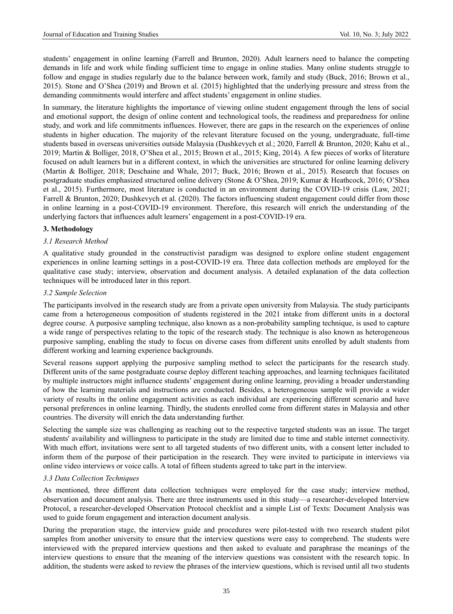students' engagement in online learning (Farrell and Brunton, 2020). Adult learners need to balance the competing demands in life and work while finding sufficient time to engage in online studies. Many online students struggle to follow and engage in studies regularly due to the balance between work, family and study (Buck, 2016; Brown et al., 2015). Stone and O'Shea (2019) and Brown et al. (2015) highlighted that the underlying pressure and stress from the demanding commitments would interfere and affect students' engagement in online studies.

In summary, the literature highlights the importance of viewing online student engagement through the lens of social and emotional support, the design of online content and technological tools, the readiness and preparedness for online study, and work and life commitments influences. However, there are gaps in the research on the experiences of online students in higher education. The majority of the relevant literature focused on the young, undergraduate, full-time students based in overseas universities outside Malaysia (Dushkevych et al.; 2020, Farrell & Brunton, 2020; Kahu et al., 2019; Martin & Bolliger, 2018, O'Shea et al., 2015; Brown et al., 2015; King, 2014). A few pieces of works of literature focused on adult learners but in a different context, in which the universities are structured for online learning delivery (Martin & Bolliger, 2018; Deschaine and Whale, 2017; Buck, 2016; Brown et al., 2015). Research that focuses on postgraduate studies emphasized structured online delivery (Stone & O'Shea, 2019; Kumar & Heathcock, 2016; O'Shea et al., 2015). Furthermore, most literature is conducted in an environment during the COVID-19 crisis (Law, 2021; Farrell & Brunton, 2020; Dushkevych et al. (2020). The factors influencing student engagement could differ from those in online learning in a post-COVID-19 environment. Therefore, this research will enrich the understanding of the underlying factors that influences adult learners' engagement in a post-COVID-19 era.

## **3. Methodology**

## *3.1 Research Method*

A qualitative study grounded in the constructivist paradigm was designed to explore online student engagement experiences in online learning settings in a post-COVID-19 era. Three data collection methods are employed for the qualitative case study; interview, observation and document analysis. A detailed explanation of the data collection techniques will be introduced later in this report.

## *3.2 Sample Selection*

The participants involved in the research study are from a private open university from Malaysia. The study participants came from a heterogeneous composition of students registered in the 2021 intake from different units in a doctoral degree course. A purposive sampling technique, also known as a non-probability sampling technique, is used to capture a wide range of perspectives relating to the topic of the research study. The technique is also known as heterogeneous purposive sampling, enabling the study to focus on diverse cases from different units enrolled by adult students from different working and learning experience backgrounds.

Several reasons support applying the purposive sampling method to select the participants for the research study. Different units of the same postgraduate course deploy different teaching approaches, and learning techniques facilitated by multiple instructors might influence students' engagement during online learning, providing a broader understanding of how the learning materials and instructions are conducted. Besides, a heterogeneous sample will provide a wider variety of results in the online engagement activities as each individual are experiencing different scenario and have personal preferences in online learning. Thirdly, the students enrolled come from different states in Malaysia and other countries. The diversity will enrich the data understanding further.

Selecting the sample size was challenging as reaching out to the respective targeted students was an issue. The target students' availability and willingness to participate in the study are limited due to time and stable internet connectivity. With much effort, invitations were sent to all targeted students of two different units, with a consent letter included to inform them of the purpose of their participation in the research. They were invited to participate in interviews via online video interviews or voice calls. A total of fifteen students agreed to take part in the interview.

#### *3.3 Data Collection Techniques*

As mentioned, three different data collection techniques were employed for the case study; interview method, observation and document analysis. There are three instruments used in this study—a researcher-developed Interview Protocol, a researcher-developed Observation Protocol checklist and a simple List of Texts: Document Analysis was used to guide forum engagement and interaction document analysis.

During the preparation stage, the interview guide and procedures were pilot-tested with two research student pilot samples from another university to ensure that the interview questions were easy to comprehend. The students were interviewed with the prepared interview questions and then asked to evaluate and paraphrase the meanings of the interview questions to ensure that the meaning of the interview questions was consistent with the research topic. In addition, the students were asked to review the phrases of the interview questions, which is revised until all two students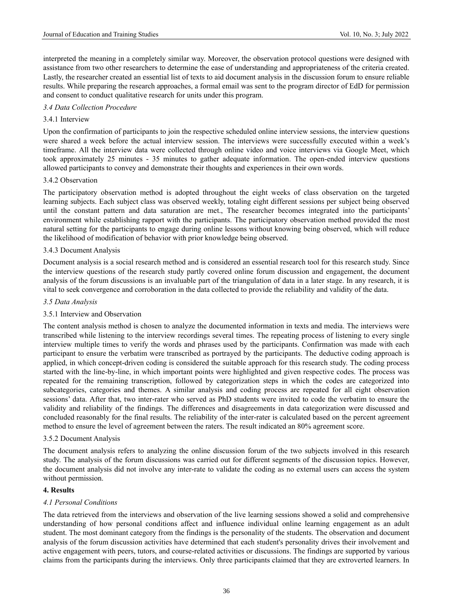interpreted the meaning in a completely similar way. Moreover, the observation protocol questions were designed with assistance from two other researchers to determine the ease of understanding and appropriateness of the criteria created. Lastly, the researcher created an essential list of texts to aid document analysis in the discussion forum to ensure reliable results. While preparing the research approaches, a formal email was sent to the program director of EdD for permission and consent to conduct qualitative research for units under this program.

## *3.4 Data Collection Procedure*

# 3.4.1 Interview

Upon the confirmation of participants to join the respective scheduled online interview sessions, the interview questions were shared a week before the actual interview session. The interviews were successfully executed within a week's timeframe. All the interview data were collected through online video and voice interviews via Google Meet, which took approximately 25 minutes - 35 minutes to gather adequate information. The open-ended interview questions allowed participants to convey and demonstrate their thoughts and experiences in their own words.

## 3.4.2 Observation

The participatory observation method is adopted throughout the eight weeks of class observation on the targeted learning subjects. Each subject class was observed weekly, totaling eight different sessions per subject being observed until the constant pattern and data saturation are met., The researcher becomes integrated into the participants' environment while establishing rapport with the participants. The participatory observation method provided the most natural setting for the participants to engage during online lessons without knowing being observed, which will reduce the likelihood of modification of behavior with prior knowledge being observed.

## 3.4.3 Document Analysis

Document analysis is a social research method and is considered an essential research tool for this research study. Since the interview questions of the research study partly covered online forum discussion and engagement, the document analysis of the forum discussions is an invaluable part of the triangulation of data in a later stage. In any research, it is vital to seek convergence and corroboration in the data collected to provide the reliability and validity of the data.

## *3.5 Data Analysis*

## 3.5.1 Interview and Observation

The content analysis method is chosen to analyze the documented information in texts and media. The interviews were transcribed while listening to the interview recordings several times. The repeating process of listening to every single interview multiple times to verify the words and phrases used by the participants. Confirmation was made with each participant to ensure the verbatim were transcribed as portrayed by the participants. The deductive coding approach is applied, in which concept-driven coding is considered the suitable approach for this research study. The coding process started with the line-by-line, in which important points were highlighted and given respective codes. The process was repeated for the remaining transcription, followed by categorization steps in which the codes are categorized into subcategories, categories and themes. A similar analysis and coding process are repeated for all eight observation sessions' data. After that, two inter-rater who served as PhD students were invited to code the verbatim to ensure the validity and reliability of the findings. The differences and disagreements in data categorization were discussed and concluded reasonably for the final results. The reliability of the inter-rater is calculated based on the percent agreement method to ensure the level of agreement between the raters. The result indicated an 80% agreement score.

#### 3.5.2 Document Analysis

The document analysis refers to analyzing the online discussion forum of the two subjects involved in this research study. The analysis of the forum discussions was carried out for different segments of the discussion topics. However, the document analysis did not involve any inter-rate to validate the coding as no external users can access the system without permission.

#### **4. Results**

## *4.1 Personal Conditions*

The data retrieved from the interviews and observation of the live learning sessions showed a solid and comprehensive understanding of how personal conditions affect and influence individual online learning engagement as an adult student. The most dominant category from the findings is the personality of the students. The observation and document analysis of the forum discussion activities have determined that each student's personality drives their involvement and active engagement with peers, tutors, and course-related activities or discussions. The findings are supported by various claims from the participants during the interviews. Only three participants claimed that they are extroverted learners. In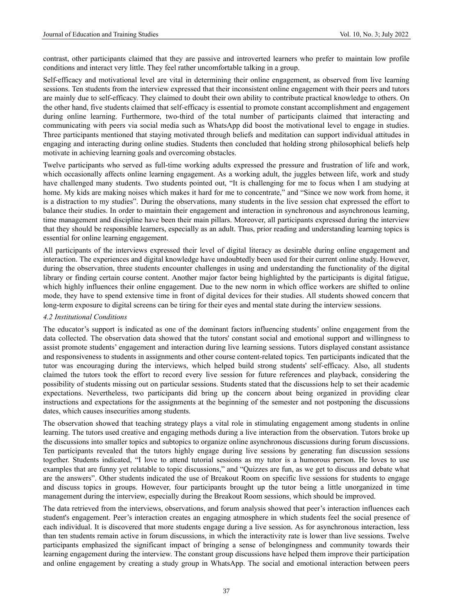contrast, other participants claimed that they are passive and introverted learners who prefer to maintain low profile conditions and interact very little. They feel rather uncomfortable talking in a group.

Self-efficacy and motivational level are vital in determining their online engagement, as observed from live learning sessions. Ten students from the interview expressed that their inconsistent online engagement with their peers and tutors are mainly due to self-efficacy. They claimed to doubt their own ability to contribute practical knowledge to others. On the other hand, five students claimed that self-efficacy is essential to promote constant accomplishment and engagement during online learning. Furthermore, two-third of the total number of participants claimed that interacting and communicating with peers via social media such as WhatsApp did boost the motivational level to engage in studies. Three participants mentioned that staying motivated through beliefs and meditation can support individual attitudes in engaging and interacting during online studies. Students then concluded that holding strong philosophical beliefs help motivate in achieving learning goals and overcoming obstacles.

Twelve participants who served as full-time working adults expressed the pressure and frustration of life and work, which occasionally affects online learning engagement. As a working adult, the juggles between life, work and study have challenged many students. Two students pointed out, "It is challenging for me to focus when I am studying at home. My kids are making noises which makes it hard for me to concentrate," and "Since we now work from home, it is a distraction to my studies". During the observations, many students in the live session chat expressed the effort to balance their studies. In order to maintain their engagement and interaction in synchronous and asynchronous learning, time management and discipline have been their main pillars. Moreover, all participants expressed during the interview that they should be responsible learners, especially as an adult. Thus, prior reading and understanding learning topics is essential for online learning engagement.

All participants of the interviews expressed their level of digital literacy as desirable during online engagement and interaction. The experiences and digital knowledge have undoubtedly been used for their current online study. However, during the observation, three students encounter challenges in using and understanding the functionality of the digital library or finding certain course content. Another major factor being highlighted by the participants is digital fatigue, which highly influences their online engagement. Due to the new norm in which office workers are shifted to online mode, they have to spend extensive time in front of digital devices for their studies. All students showed concern that long-term exposure to digital screens can be tiring for their eyes and mental state during the interview sessions.

## *4.2 Institutional Conditions*

The educator's support is indicated as one of the dominant factors influencing students' online engagement from the data collected. The observation data showed that the tutors' constant social and emotional support and willingness to assist promote students' engagement and interaction during live learning sessions. Tutors displayed constant assistance and responsiveness to students in assignments and other course content-related topics. Ten participants indicated that the tutor was encouraging during the interviews, which helped build strong students' self-efficacy. Also, all students claimed the tutors took the effort to record every live session for future references and playback, considering the possibility of students missing out on particular sessions. Students stated that the discussions help to set their academic expectations. Nevertheless, two participants did bring up the concern about being organized in providing clear instructions and expectations for the assignments at the beginning of the semester and not postponing the discussions dates, which causes insecurities among students.

The observation showed that teaching strategy plays a vital role in stimulating engagement among students in online learning. The tutors used creative and engaging methods during a live interaction from the observation. Tutors broke up the discussions into smaller topics and subtopics to organize online asynchronous discussions during forum discussions. Ten participants revealed that the tutors highly engage during live sessions by generating fun discussion sessions together. Students indicated, "I love to attend tutorial sessions as my tutor is a humorous person. He loves to use examples that are funny yet relatable to topic discussions," and "Quizzes are fun, as we get to discuss and debate what are the answers". Other students indicated the use of Breakout Room on specific live sessions for students to engage and discuss topics in groups. However, four participants brought up the tutor being a little unorganized in time management during the interview, especially during the Breakout Room sessions, which should be improved.

The data retrieved from the interviews, observations, and forum analysis showed that peer's interaction influences each student's engagement. Peer's interaction creates an engaging atmosphere in which students feel the social presence of each individual. It is discovered that more students engage during a live session. As for asynchronous interaction, less than ten students remain active in forum discussions, in which the interactivity rate is lower than live sessions. Twelve participants emphasized the significant impact of bringing a sense of belongingness and community towards their learning engagement during the interview. The constant group discussions have helped them improve their participation and online engagement by creating a study group in WhatsApp. The social and emotional interaction between peers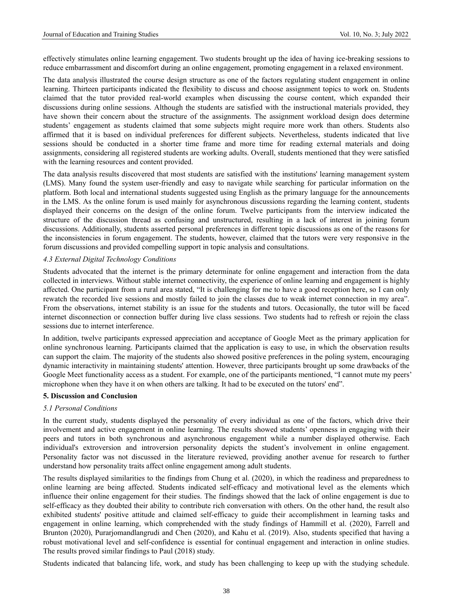effectively stimulates online learning engagement. Two students brought up the idea of having ice-breaking sessions to reduce embarrassment and discomfort during an online engagement, promoting engagement in a relaxed environment.

The data analysis illustrated the course design structure as one of the factors regulating student engagement in online learning. Thirteen participants indicated the flexibility to discuss and choose assignment topics to work on. Students claimed that the tutor provided real-world examples when discussing the course content, which expanded their discussions during online sessions. Although the students are satisfied with the instructional materials provided, they have shown their concern about the structure of the assignments. The assignment workload design does determine students' engagement as students claimed that some subjects might require more work than others. Students also affirmed that it is based on individual preferences for different subjects. Nevertheless, students indicated that live sessions should be conducted in a shorter time frame and more time for reading external materials and doing assignments, considering all registered students are working adults. Overall, students mentioned that they were satisfied with the learning resources and content provided.

The data analysis results discovered that most students are satisfied with the institutions' learning management system (LMS). Many found the system user-friendly and easy to navigate while searching for particular information on the platform. Both local and international students suggested using English as the primary language for the announcements in the LMS. As the online forum is used mainly for asynchronous discussions regarding the learning content, students displayed their concerns on the design of the online forum. Twelve participants from the interview indicated the structure of the discussion thread as confusing and unstructured, resulting in a lack of interest in joining forum discussions. Additionally, students asserted personal preferences in different topic discussions as one of the reasons for the inconsistencies in forum engagement. The students, however, claimed that the tutors were very responsive in the forum discussions and provided compelling support in topic analysis and consultations.

## *4.3 External Digital Technology Conditions*

Students advocated that the internet is the primary determinate for online engagement and interaction from the data collected in interviews. Without stable internet connectivity, the experience of online learning and engagement is highly affected. One participant from a rural area stated, "It is challenging for me to have a good reception here, so I can only rewatch the recorded live sessions and mostly failed to join the classes due to weak internet connection in my area". From the observations, internet stability is an issue for the students and tutors. Occasionally, the tutor will be faced internet disconnection or connection buffer during live class sessions. Two students had to refresh or rejoin the class sessions due to internet interference.

In addition, twelve participants expressed appreciation and acceptance of Google Meet as the primary application for online synchronous learning. Participants claimed that the application is easy to use, in which the observation results can support the claim. The majority of the students also showed positive preferences in the poling system, encouraging dynamic interactivity in maintaining students' attention. However, three participants brought up some drawbacks of the Google Meet functionality access as a student. For example, one of the participants mentioned, "I cannot mute my peers' microphone when they have it on when others are talking. It had to be executed on the tutors' end".

## **5. Discussion and Conclusion**

#### *5.1 Personal Conditions*

In the current study, students displayed the personality of every individual as one of the factors, which drive their involvement and active engagement in online learning. The results showed students' openness in engaging with their peers and tutors in both synchronous and asynchronous engagement while a number displayed otherwise. Each individual's extroversion and introversion personality depicts the student's involvement in online engagement. Personality factor was not discussed in the literature reviewed, providing another avenue for research to further understand how personality traits affect online engagement among adult students.

The results displayed similarities to the findings from Chung et al. (2020), in which the readiness and preparedness to online learning are being affected. Students indicated self-efficacy and motivational level as the elements which influence their online engagement for their studies. The findings showed that the lack of online engagement is due to self-efficacy as they doubted their ability to contribute rich conversation with others. On the other hand, the result also exhibited students' positive attitude and claimed self-efficacy to guide their accomplishment in learning tasks and engagement in online learning, which comprehended with the study findings of Hammill et al. (2020), Farrell and Brunton (2020), Purarjomandlangrudi and Chen (2020), and Kahu et al. (2019). Also, students specified that having a robust motivational level and self-confidence is essential for continual engagement and interaction in online studies. The results proved similar findings to Paul (2018) study.

Students indicated that balancing life, work, and study has been challenging to keep up with the studying schedule.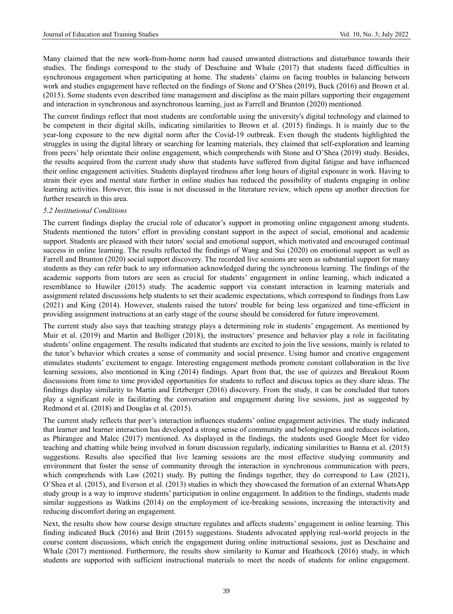Many claimed that the new work-from-home norm had caused unwanted distractions and disturbance towards their studies. The findings correspond to the study of Deschaine and Whale (2017) that students faced difficulties in synchronous engagement when participating at home. The students' claims on facing troubles in balancing between work and studies engagement have reflected on the findings of Stone and O'Shea (2019), Buck (2016) and Brown et al. (2015). Some students even described time management and discipline as the main pillars supporting their engagement and interaction in synchronous and asynchronous learning, just as Farrell and Brunton (2020) mentioned.

The current findings reflect that most students are comfortable using the university's digital technology and claimed to be competent in their digital skills, indicating similarities to Brown et al. (2015) findings. It is mainly due to the year-long exposure to the new digital norm after the Covid-19 outbreak. Even though the students highlighted the struggles in using the digital library or searching for learning materials, they claimed that self-exploration and learning from peers' help orientate their online engagement, which comprehends with Stone and O'Shea (2019) study. Besides, the results acquired from the current study show that students have suffered from digital fatigue and have influenced their online engagement activities. Students displayed tiredness after long hours of digital exposure in work. Having to strain their eyes and mental state further in online studies has reduced the possibility of students engaging in online learning activities. However, this issue is not discussed in the literature review, which opens up another direction for further research in this area.

## *5.2 Institutional Conditions*

The current findings display the crucial role of educator's support in promoting online engagement among students. Students mentioned the tutors' effort in providing constant support in the aspect of social, emotional and academic support. Students are pleased with their tutors' social and emotional support, which motivated and encouraged continual success in online learning. The results reflected the findings of Wang and Sui (2020) on emotional support as well as Farrell and Brunton (2020) social support discovery. The recorded live sessions are seen as substantial support for many students as they can refer back to any information acknowledged during the synchronous learning. The findings of the academic supports from tutors are seen as crucial for students' engagement in online learning, which indicated a resemblance to Huwiler (2015) study. The academic support via constant interaction in learning materials and assignment related discussions help students to set their academic expectations, which correspond to findings from Law (2021) and King (2014). However, students raised the tutors' trouble for being less organized and time-efficient in providing assignment instructions at an early stage of the course should be considered for future improvement.

The current study also says that teaching strategy plays a determining role in students' engagement. As mentioned by Muir et al. (2019) and Martin and Bolliger (2018), the instructors' presence and behavior play a role in facilitating students' online engagement. The results indicated that students are excited to join the live sessions, mainly is related to the tutor's behavior which creates a sense of community and social presence. Using humor and creative engagement stimulates students' excitement to engage. Interesting engagement methods promote constant collaboration in the live learning sessions, also mentioned in King (2014) findings. Apart from that, the use of quizzes and Breakout Room discussions from time to time provided opportunities for students to reflect and discuss topics as they share ideas. The findings display similarity to Martin and Ertzberger (2016) discovery. From the study, it can be concluded that tutors play a significant role in facilitating the conversation and engagement during live sessions, just as suggested by Redmond et al. (2018) and Douglas et al. (2015).

The current study reflects that peer's interaction influences students' online engagement activities. The study indicated that learner and learner interaction has developed a strong sense of community and belongingness and reduces isolation, as Phirangee and Malec (2017) mentioned. As displayed in the findings, the students used Google Meet for video teaching and chatting while being involved in forum discussion regularly, indicating similarities to Banna et al. (2015) suggestions. Results also specified that live learning sessions are the most effective studying community and environment that foster the sense of community through the interaction in synchronous communication with peers, which comprehends with Law (2021) study. By putting the findings together, they do correspond to Law (2021), O'Shea et al. (2015), and Everson et al. (2013) studies in which they showcased the formation of an external WhatsApp study group is a way to improve students' participation in online engagement. In addition to the findings, students made similar suggestions as Watkins (2014) on the employment of ice-breaking sessions, increasing the interactivity and reducing discomfort during an engagement.

Next, the results show how course design structure regulates and affects students' engagement in online learning. This finding indicated Buck (2016) and Britt (2015) suggestions. Students advocated applying real-world projects in the course content discussions, which enrich the engagement during online instructional sessions, just as Deschaine and Whale (2017) mentioned. Furthermore, the results show similarity to Kumar and Heathcock (2016) study, in which students are supported with sufficient instructional materials to meet the needs of students for online engagement.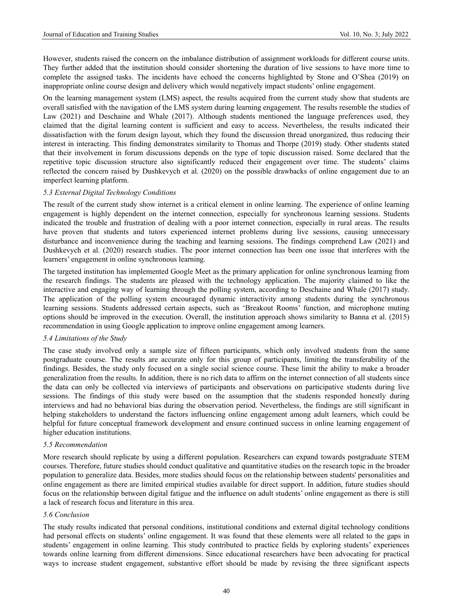However, students raised the concern on the imbalance distribution of assignment workloads for different course units. They further added that the institution should consider shortening the duration of live sessions to have more time to complete the assigned tasks. The incidents have echoed the concerns highlighted by Stone and O'Shea (2019) on inappropriate online course design and delivery which would negatively impact students' online engagement.

On the learning management system (LMS) aspect, the results acquired from the current study show that students are overall satisfied with the navigation of the LMS system during learning engagement. The results resemble the studies of Law (2021) and Deschaine and Whale (2017). Although students mentioned the language preferences used, they claimed that the digital learning content is sufficient and easy to access. Nevertheless, the results indicated their dissatisfaction with the forum design layout, which they found the discussion thread unorganized, thus reducing their interest in interacting. This finding demonstrates similarity to Thomas and Thorpe (2019) study. Other students stated that their involvement in forum discussions depends on the type of topic discussion raised. Some declared that the repetitive topic discussion structure also significantly reduced their engagement over time. The students' claims reflected the concern raised by Dushkevych et al. (2020) on the possible drawbacks of online engagement due to an imperfect learning platform.

## *5.3 External Digital Technology Conditions*

The result of the current study show internet is a critical element in online learning. The experience of online learning engagement is highly dependent on the internet connection, especially for synchronous learning sessions. Students indicated the trouble and frustration of dealing with a poor internet connection, especially in rural areas. The results have proven that students and tutors experienced internet problems during live sessions, causing unnecessary disturbance and inconvenience during the teaching and learning sessions. The findings comprehend Law (2021) and Dushkevych et al. (2020) research studies. The poor internet connection has been one issue that interferes with the learners' engagement in online synchronous learning.

The targeted institution has implemented Google Meet as the primary application for online synchronous learning from the research findings. The students are pleased with the technology application. The majority claimed to like the interactive and engaging way of learning through the polling system, according to Deschaine and Whale (2017) study. The application of the polling system encouraged dynamic interactivity among students during the synchronous learning sessions. Students addressed certain aspects, such as 'Breakout Rooms' function, and microphone muting options should be improved in the execution. Overall, the institution approach shows similarity to Banna et al. (2015) recommendation in using Google application to improve online engagement among learners.

#### *5.4 Limitations of the Study*

The case study involved only a sample size of fifteen participants, which only involved students from the same postgraduate course. The results are accurate only for this group of participants, limiting the transferability of the findings. Besides, the study only focused on a single social science course. These limit the ability to make a broader generalization from the results. In addition, there is no rich data to affirm on the internet connection of all students since the data can only be collected via interviews of participants and observations on participative students during live sessions. The findings of this study were based on the assumption that the students responded honestly during interviews and had no behavioral bias during the observation period. Nevertheless, the findings are still significant in helping stakeholders to understand the factors influencing online engagement among adult learners, which could be helpful for future conceptual framework development and ensure continued success in online learning engagement of higher education institutions.

#### *5.5 Recommendation*

More research should replicate by using a different population. Researchers can expand towards postgraduate STEM courses. Therefore, future studies should conduct qualitative and quantitative studies on the research topic in the broader population to generalize data. Besides, more studies should focus on the relationship between students' personalities and online engagement as there are limited empirical studies available for direct support. In addition, future studies should focus on the relationship between digital fatigue and the influence on adult students' online engagement as there is still a lack of research focus and literature in this area.

## *5.6 Conclusion*

The study results indicated that personal conditions, institutional conditions and external digital technology conditions had personal effects on students' online engagement. It was found that these elements were all related to the gaps in students' engagement in online learning. This study contributed to practice fields by exploring students' experiences towards online learning from different dimensions. Since educational researchers have been advocating for practical ways to increase student engagement, substantive effort should be made by revising the three significant aspects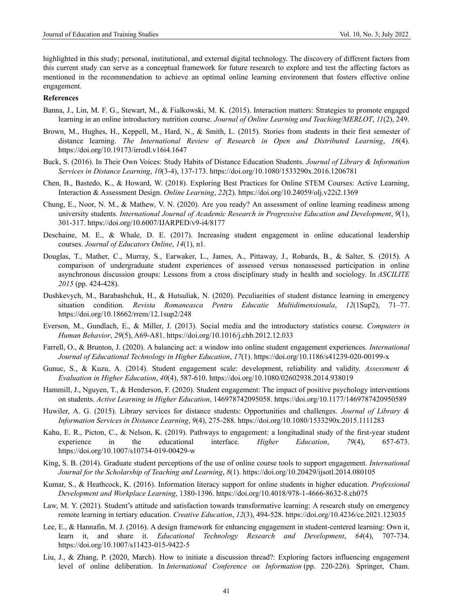highlighted in this study; personal, institutional, and external digital technology. The discovery of different factors from this current study can serve as a conceptual framework for future research to explore and test the affecting factors as mentioned in the recommendation to achieve an optimal online learning environment that fosters effective online engagement.

## **References**

- Banna, J., Lin, M. F. G., Stewart, M., & Fialkowski, M. K. (2015). Interaction matters: Strategies to promote engaged learning in an online introductory nutrition course. *Journal of Online Learning and Teaching/MERLOT*, *11*(2), 249.
- Brown, M., Hughes, H., Keppell, M., Hard, N., & Smith, L. (2015). Stories from students in their first semester of distance learning. *The International Review of Research in Open and Distributed Learning*, *16*(4). <https://doi.org/10.19173/irrodl.v16i4.1647>
- Buck, S. (2016). In Their Own Voices: Study Habits of Distance Education Students. *Journal of Library & Information Services in Distance Learning*, *10*(3-4), 137-173. https://doi.org/10.1080/1533290x.2016.1206781
- Chen, B., Bastedo, K., & Howard, W. (2018). Exploring Best Practices for Online STEM Courses: Active Learning, Interaction & Assessment Design. *Online Learning*, *22*(2). https://doi.org/10.24059/olj.v22i2.1369
- Chung, E., Noor, N. M., & Mathew, V. N. (2020). Are you ready? An assessment of online learning readiness among university students. *International Journal of Academic Research in Progressive Education and Development*, *9*(1), 301-317. <https://doi.org/10.6007/IJARPED/v9-i4/8177>
- Deschaine, M. E., & Whale, D. E. (2017). Increasing student engagement in online educational leadership courses. *Journal of Educators Online*, *14*(1), n1.
- Douglas, T., Mather, C., Murray, S., Earwaker, L., James, A., Pittaway, J., Robards, B., & Salter, S. (2015). A comparison of undergraduate student experiences of assessed versus nonassessed participation in online asynchronous discussion groups: Lessons from a cross disciplinary study in health and sociology. In *ASCILITE 2015* (pp. 424-428).
- Dushkevych, M., Barabashchuk, H., & Hutsuliak, N. (2020). Peculiarities of student distance learning in emergency situation condition. *Revista Romaneasca Pentru Educatie Multidimensionala*, *12*(1Sup2), 71–77. https://doi.org/10.18662/rrem/12.1sup2/248
- Everson, M., Gundlach, E., & Miller, J. (2013). Social media and the introductory statistics course. *Computers in Human Behavior*, *29*(5), A69-A81. https://doi.org/10.1016/j.chb.2012.12.033
- Farrell, O., & Brunton, J. (2020). A balancing act: a window into online student engagement experiences. *International Journal of Educational Technology in Higher Education*, *17*(1). https://doi.org/10.1186/s41239-020-00199-x
- Gunuc, S., & Kuzu, A. (2014). Student engagement scale: development, reliability and validity. *Assessment & Evaluation in Higher Education*, *40*(4), 587-610.<https://doi.org/10.1080/02602938.2014.938019>
- Hammill, J., Nguyen, T., & Henderson, F. (2020). Student engagement: The impact of positive psychology interventions on students. *Active Learning in Higher Education*, 146978742095058. https://doi.org/10.1177/1469787420950589
- Huwiler, A. G. (2015). Library services for distance students: Opportunities and challenges. *Journal of Library & Information Services in Distance Learning*, *9*(4), 275-288. https://doi.org/10.1080/1533290x.2015.1111283
- Kahu, E. R., Picton, C., & Nelson, K. (2019). Pathways to engagement: a longitudinal study of the first-year student experience in the educational interface. *Higher Education*, *79*(4), 657-673. https://doi.org/10.1007/s10734-019-00429-w
- King, S. B. (2014). Graduate student perceptions of the use of online course tools to support engagement. *International Journal for the Scholarship of Teaching and Learning*, *8*(1). https://doi.org/10.20429/ijsotl.2014.080105
- Kumar, S., & Heathcock, K. (2016). Information literacy support for online students in higher education. *Professional Development and Workplace Learning*, 1380-1396.<https://doi.org/10.4018/978-1-4666-8632-8.ch075>
- Law, M. Y. (2021). Student's attitude and satisfaction towards transformative learning: A research study on emergency remote learning in tertiary education. *Creative Education*, *12*(3), 494-528.<https://doi.org/10.4236/ce.2021.123035>
- Lee, E., & Hannafin, M. J. (2016). A design framework for enhancing engagement in student-centered learning: Own it, learn it, and share it. *Educational Technology Research and Development*, *64*(4), 707-734. https://doi.org/10.1007/s11423-015-9422-5
- Liu, J., & Zhang, P. (2020, March). How to initiate a discussion thread?: Exploring factors influencing engagement level of online deliberation. In *International Conference on Information* (pp. 220-226). Springer, Cham.